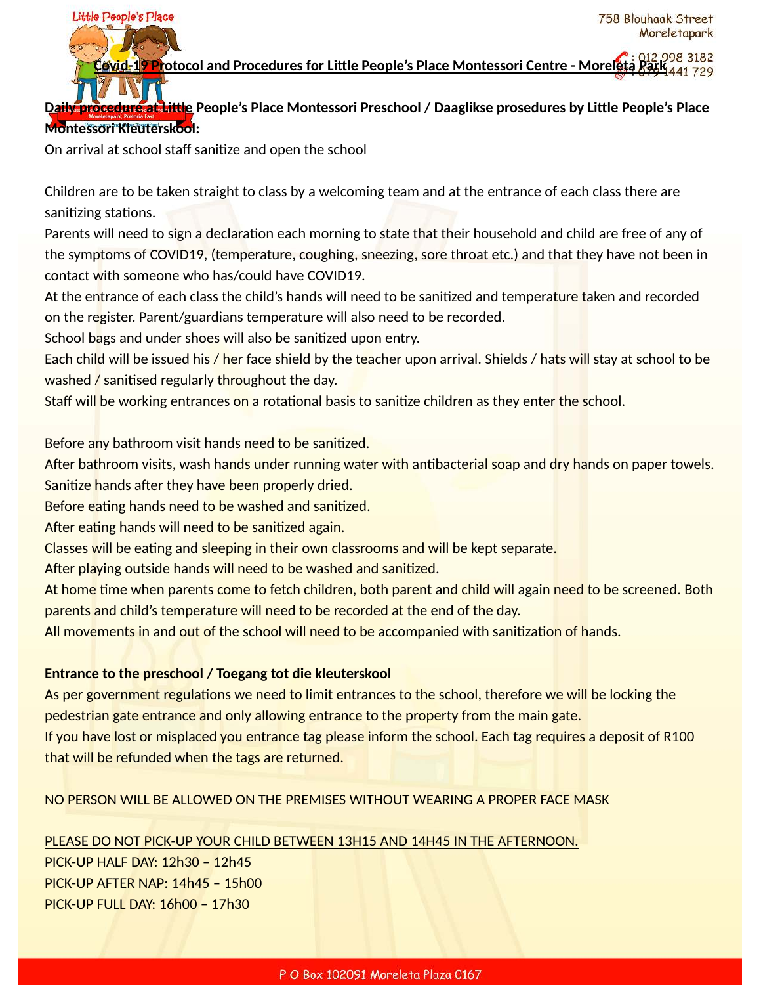### **Protocol and Procedures for Little People's Place Montessori Centre - Morelet**

# Daily procedure at Little People's Place Montessori Preschool / Daaglikse prosedures by Little People's Place **Montessori Kleuterskool:**

On arrival at school staff sanitize and open the school

Little People's Place

Children are to be taken straight to class by a welcoming team and at the entrance of each class there are sanitizing stations.

Parents will need to sign a declaration each morning to state that their household and child are free of any of the symptoms of COVID19, (temperature, coughing, sneezing, sore throat etc.) and that they have not been in contact with someone who has/could have COVID19.

At the entrance of each class the child's hands will need to be sanitized and temperature taken and recorded on the register. Parent/guardians temperature will also need to be recorded.

School bags and under shoes will also be sanitized upon entry.

Each child will be issued his / her face shield by the teacher upon arrival. Shields / hats will stay at school to be washed  $\overline{\prime}$  sanitised regularly throughout the day.

Staff will be working entrances on a rotational basis to sanitize children as they enter the school.

Before any bathroom visit hands need to be sanitized.

After bathroom visits, wash hands under running water with antibacterial soap and dry hands on paper towels. Sanitize hands after they have been properly dried.

Before eating hands need to be washed and sanitized.

After eating hands will need to be sanitized again.

Classes will be eating and sleeping in their own classrooms and will be kept separate.

After playing outside hands will need to be washed and sanitized.

At home time when parents come to fetch children, both parent and child will again need to be screened. Both parents and child's temperature will need to be recorded at the end of the day.

All movements in and out of the school will need to be accompanied with sanitization of hands.

#### **Entrance to the preschool / Toegang tot die kleuterskool**

As per government regulations we need to limit entrances to the school, therefore we will be locking the pedestrian gate entrance and only allowing entrance to the property from the main gate.

If you have lost or misplaced you entrance tag please inform the school. Each tag requires a deposit of R100 that will be refunded when the tags are returned.

#### NO PERSON WILL BE ALLOWED ON THE PREMISES WITHOUT WEARING A PROPER FACE MASK

#### PLEASE DO NOT PICK-UP YOUR CHILD BETWEEN 13H15 AND 14H45 IN THE AFTERNOON.

PICK-UP HALF DAY: 12h30 – 12h45 PICK-UP AFTER NAP: 14h45 – 15h00 PICK-UP FULL DAY: 16h00 – 17h30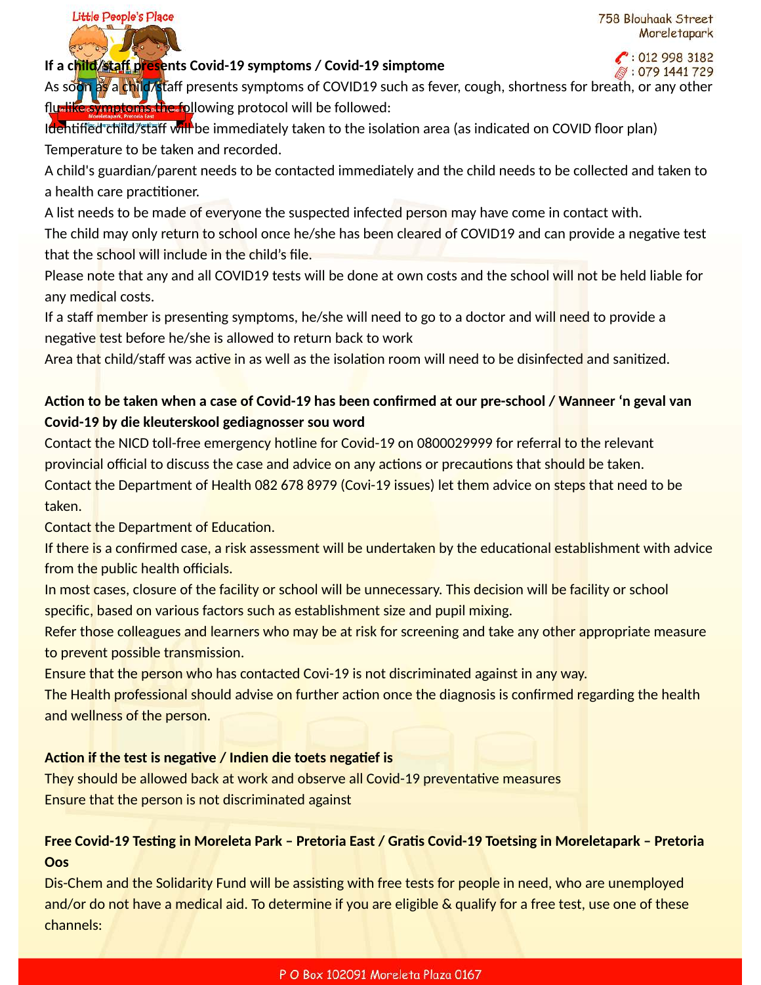$\binom{20129983182}{ }$ 

### **If a child/staff presents Covid-19 symptoms / Covid-19 simptome**

Little People's Place

 $\%$ : 079 1441 729 As soon as a child/staff presents symptoms of COVID19 such as fever, cough, shortness for breath, or any other flu-like symptoms the following protocol will be followed:

Identified child/staff will be immediately taken to the isolation area (as indicated on COVID floor plan) Temperature to be taken and recorded.

A child's guardian/parent needs to be contacted immediately and the child needs to be collected and taken to a health care practitioner.

A list needs to be made of everyone the suspected infected person may have come in contact with. The child may only return to school once he/she has been cleared of COVID19 and can provide a negative test that the school will include in the child's file.

Please note that any and all COVID19 tests will be done at own costs and the school will not be held liable for any medical costs.

If a staff member is presenting symptoms, he/she will need to go to a doctor and will need to provide a negative test before he/she is allowed to return back to work

Area that child/staff was active in as well as the isolation room will need to be disinfected and sanitized.

# Action to be taken when a case of Covid-19 has been confirmed at our pre-school / Wanneer 'n geval van **Covid-19 by die kleuterskool gediagnosser sou word**

Contact the NICD toll-free emergency hotline for Covid-19 on 0800029999 for referral to the relevant provincial official to discuss the case and advice on any actions or precautions that should be taken. Contact the Department of Health 082 678 8979 (Covi-19 issues) let them advice on steps that need to be taken.

Contact the Department of Education.

If there is a confirmed case, a risk assessment will be undertaken by the educational establishment with advice from the public health officials.

In most cases, closure of the facility or school will be unnecessary. This decision will be facility or school specific, based on various factors such as establishment size and pupil mixing.

Refer those colleagues and learners who may be at risk for screening and take any other appropriate measure to prevent possible transmission.

Ensure that the person who has contacted Covi-19 is not discriminated against in any way.

The Health professional should advise on further action once the diagnosis is confirmed regarding the health and wellness of the person.

### Action if the test is negative / Indien die toets negatief is

They should be allowed back at work and observe all Covid-19 preventative measures Ensure that the person is not discriminated against

# **Free Covid-19 Testing in Moreleta Park - Pretoria East / Gratis Covid-19 Toetsing in Moreletapark - Pretoria Oos**

Dis-Chem and the Solidarity Fund will be assisting with free tests for people in need, who are unemployed and/or do not have a medical aid. To determine if you are eligible & qualify for a free test, use one of these channels: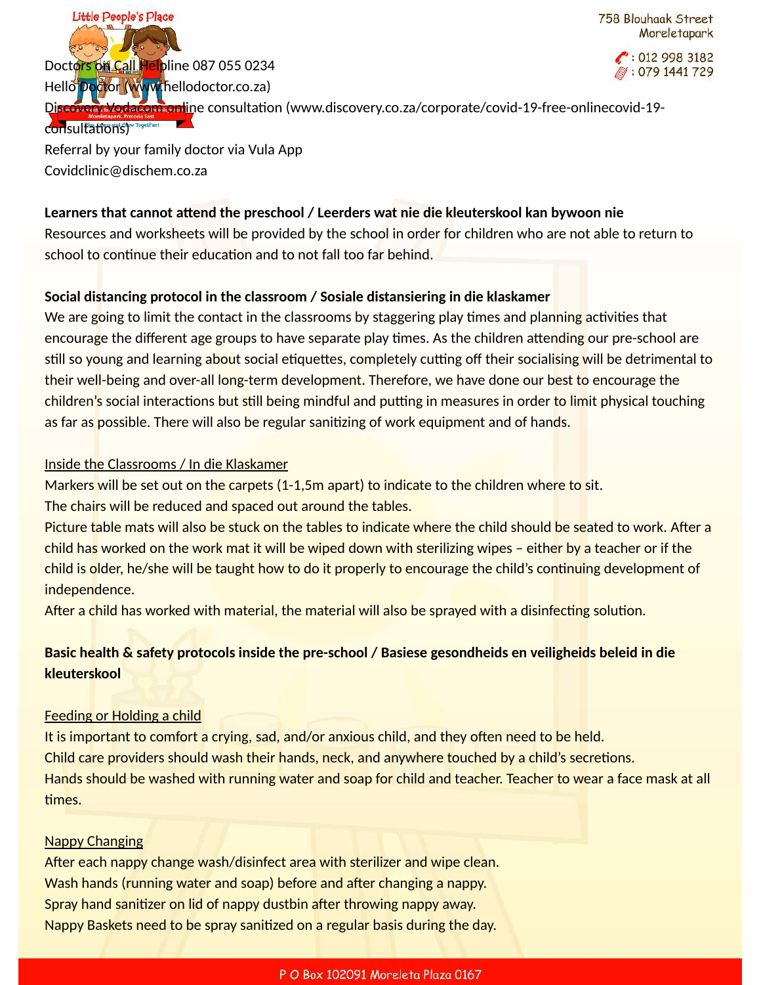Little People's Place 758 Blouhaak Street Moreletapark  $\binom{2}{10129983182}$ Doctors on Call Helpline 087 055 0234 ☞: 079 1441 729 Hello Doctor (www.hellodoctor.co.za) Discovery Vodacom online consultation (www.discovery.co.za/corporate/covid-19-free-onlinecovid-19consultations)

Referral by your family doctor via Vula App Covidclinic@dischem.co.za

### Learners that cannot attend the preschool / Leerders wat nie die kleuterskool kan bywoon nie

Resources and worksheets will be provided by the school in order for children who are not able to return to school to continue their education and to not fall too far behind.

# **Social distancing protocol in the classroom / Sosiale distansiering in die klaskamer**

We are going to limit the contact in the classrooms by staggering play times and planning activities that encourage the different age groups to have separate play times. As the children attending our pre-school are still so young and learning about social etiquettes, completely cutting off their socialising will be detrimental to their well-being and over-all long-term development. Therefore, we have done our best to encourage the children's social interactions but still being mindful and putting in measures in order to limit physical touching as far as possible. There will also be regular sanitizing of work equipment and of hands.

## Inside the Classrooms / In die Klaskamer

Markers will be set out on the carpets (1-1,5m apart) to indicate to the children where to sit.

The chairs will be reduced and spaced out around the tables.

Picture table mats will also be stuck on the tables to indicate where the child should be seated to work. After a child has worked on the work mat it will be wiped down with sterilizing wipes – either by a teacher or if the child is older, he/she will be taught how to do it properly to encourage the child's continuing development of independence.

After a child has worked with material, the material will also be sprayed with a disinfecting solution.

# **Basic health & safety protocols inside the pre-school / Basiese gesondheids en veiligheids beleid in die kleuterskool**

# Feeding or Holding a child

It is important to comfort a crying, sad, and/or anxious child, and they often need to be held. Child care providers should wash their hands, neck, and anywhere touched by a child's secretions. Hands should be washed with running water and soap for child and teacher. Teacher to wear a face mask at all times.

### Nappy Changing

After each nappy change wash/disinfect area with sterilizer and wipe clean. Wash hands (running water and soap) before and after changing a nappy. Spray hand sanitizer on lid of nappy dustbin after throwing nappy away. Nappy Baskets need to be spray sanitized on a regular basis during the day.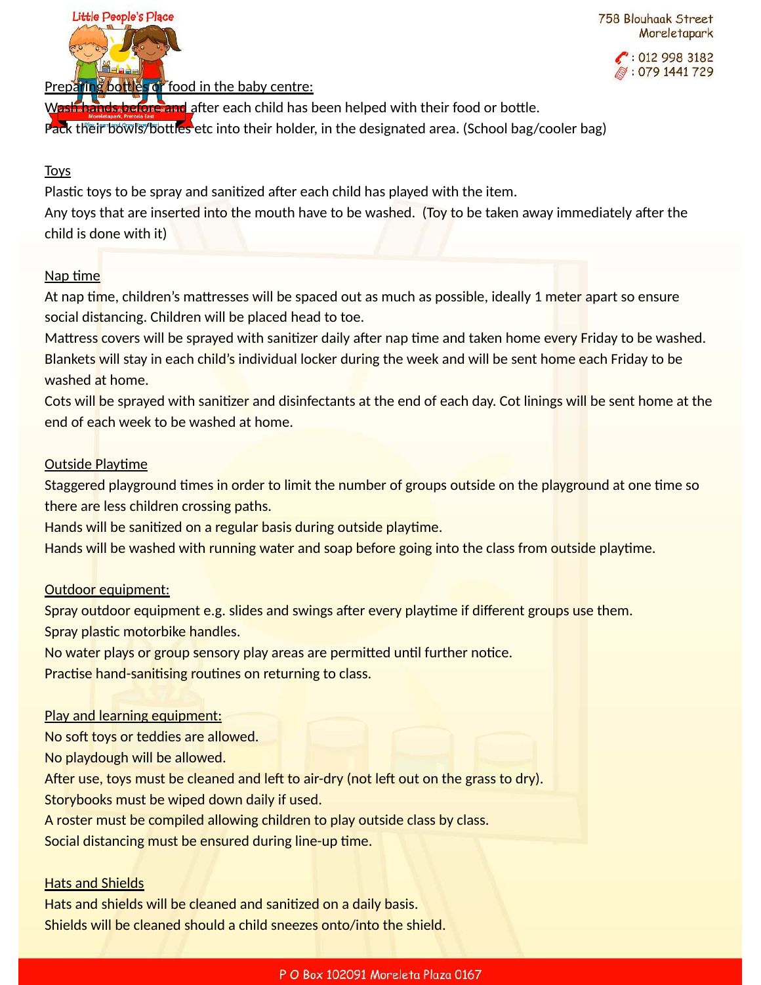

758 Blouhaak Street Moreletapark

> $\bullet$  012 998 3182  $: 0791441729$

Preparing bottles or food in the baby centre:

Wash hands before and after each child has been helped with their food or bottle. Pack their bowls/bottles etc into their holder, in the designated area. (School bag/cooler bag)

### Toys

Plastic toys to be spray and sanitized after each child has played with the item. Any toys that are inserted into the mouth have to be washed. (Toy to be taken away immediately after the child is done with it)

### Nap time

At nap time, children's mattresses will be spaced out as much as possible, ideally 1 meter apart so ensure social distancing. Children will be placed head to toe.

Mattress covers will be sprayed with sanitizer daily after nap time and taken home every Friday to be washed. Blankets will stay in each child's individual locker during the week and will be sent home each Friday to be washed at home.

Cots will be sprayed with sanitizer and disinfectants at the end of each day. Cot linings will be sent home at the end of each week to be washed at home.

### **Outside Playtime**

Staggered playground times in order to limit the number of groups outside on the playground at one time so there are less children crossing paths.

Hands will be sanitized on a regular basis during outside playtime.

Hands will be washed with running water and soap before going into the class from outside playtime.

### Outdoor equipment:

Spray outdoor equipment e.g. slides and swings after every playtime if different groups use them.

Spray plastic motorbike handles.

No water plays or group sensory play areas are permitted until further notice.

Practise hand-sanitising routines on returning to class.

#### Play and learning equipment:

No soft toys or teddies are allowed.

No playdough will be allowed.

After use, toys must be cleaned and left to air-dry (not left out on the grass to dry).

Storybooks must be wiped down daily if used.

A roster must be compiled allowing children to play outside class by class.

Social distancing must be ensured during line-up time.

#### **Hats and Shields**

Hats and shields will be cleaned and sanitized on a daily basis. Shields will be cleaned should a child sneezes onto/into the shield.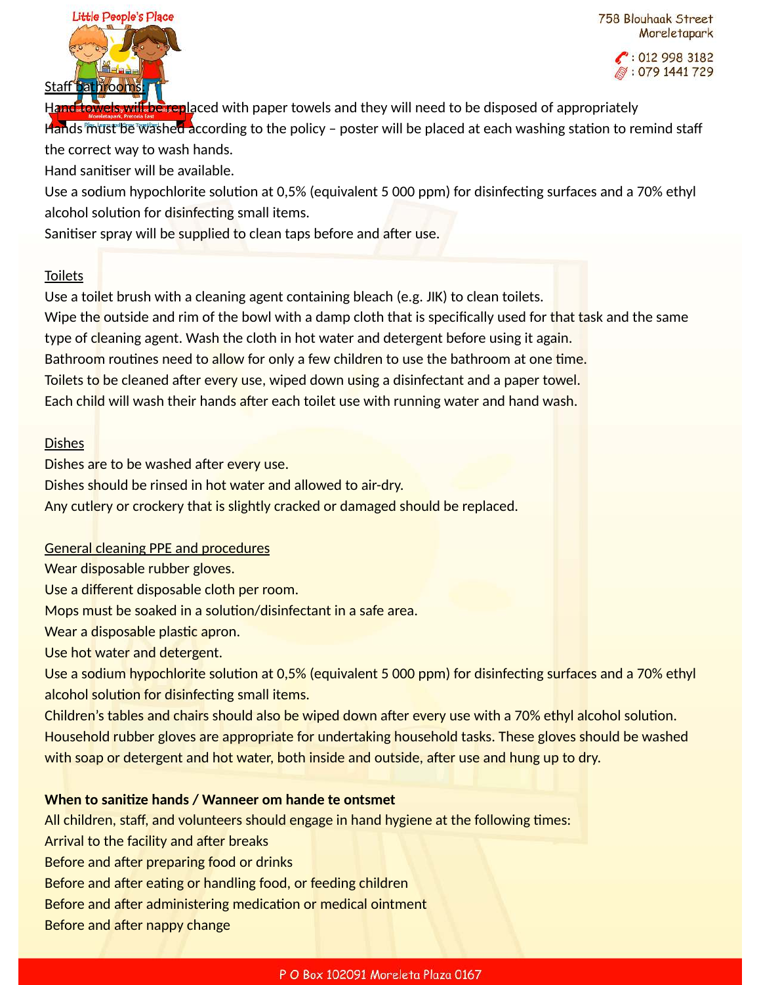

 $\binom{10129983182}{ }$ ☞: 079 1441 729

Hand towels will be replaced with paper towels and they will need to be disposed of appropriately

Hands must be washed according to the policy - poster will be placed at each washing station to remind staff the correct way to wash hands.

Hand sanitiser will be available.

Use a sodium hypochlorite solution at 0,5% (equivalent 5 000 ppm) for disinfecting surfaces and a 70% ethyl alcohol solution for disinfecting small items.

Sanitiser spray will be supplied to clean taps before and after use.

### Toilets

Use a toilet brush with a cleaning agent containing bleach (e.g. JIK) to clean toilets. Wipe the outside and rim of the bowl with a damp cloth that is specifically used for that task and the same type of cleaning agent. Wash the cloth in hot water and detergent before using it again. Bathroom routines need to allow for only a few children to use the bathroom at one time. Toilets to be cleaned after every use, wiped down using a disinfectant and a paper towel. Each child will wash their hands after each toilet use with running water and hand wash.

### Dishes

Dishes are to be washed after every use. Dishes should be rinsed in hot water and allowed to air-dry. Any cutlery or crockery that is slightly cracked or damaged should be replaced.

### General cleaning PPE and procedures

Wear disposable rubber gloves.

Use a different disposable cloth per room.

Mops must be soaked in a solution/disinfectant in a safe area.

Wear a disposable plastic apron.

Use hot water and detergent.

Use a sodium hypochlorite solution at 0,5% (equivalent 5 000 ppm) for disinfecting surfaces and a 70% ethyl alcohol solution for disinfecting small items.

Children's tables and chairs should also be wiped down after every use with a 70% ethyl alcohol solution. Household rubber gloves are appropriate for undertaking household tasks. These gloves should be washed with soap or detergent and hot water, both inside and outside, after use and hung up to dry.

### **When to sanitize hands / Wanneer om hande te ontsmet**

All children, staff, and volunteers should engage in hand hygiene at the following times: Arrival to the facility and after breaks Before and after preparing food or drinks Before and after eating or handling food, or feeding children Before and after administering medication or medical ointment Before and after nappy change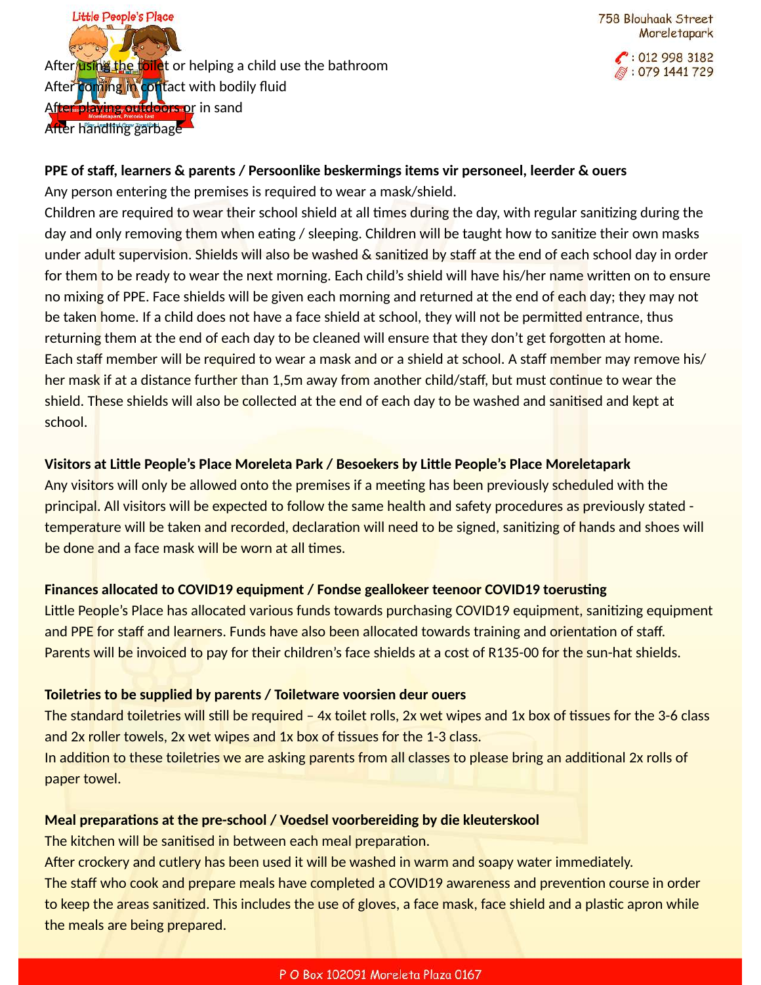Little People's Place After using the toilet or helping a child use the bathroom After coming in contact with bodily fluid After playing outdoors or in sand After handling garbage

 $\cdot$  012 998 3182 *,* ∶079 1441 729

### **PPE of staff, learners & parents / Persoonlike beskermings items vir personeel, leerder & ouers**

Any person entering the premises is required to wear a mask/shield.

Children are required to wear their school shield at all times during the day, with regular sanitizing during the day and only removing them when eating / sleeping. Children will be taught how to sanitize their own masks under adult supervision. Shields will also be washed  $\&$  sanitized by staff at the end of each school day in order for them to be ready to wear the next morning. Each child's shield will have his/her name written on to ensure no mixing of PPE. Face shields will be given each morning and returned at the end of each day; they may not be taken home. If a child does not have a face shield at school, they will not be permitted entrance, thus returning them at the end of each day to be cleaned will ensure that they don't get forgotten at home. Each staff member will be required to wear a mask and or a shield at school. A staff member may remove his/ her mask if at a distance further than 1,5m away from another child/staff, but must continue to wear the shield. These shields will also be collected at the end of each day to be washed and sanitised and kept at school.

## Visitors at Little People's Place Moreleta Park / Besoekers by Little People's Place Moreletapark

Any visitors will only be allowed onto the premises if a meeting has been previously scheduled with the principal. All visitors will be expected to follow the same health and safety procedures as previously stated temperature will be taken and recorded, declaration will need to be signed, sanitizing of hands and shoes will be done and a face mask will be worn at all times.

# Finances allocated to COVID19 equipment / Fondse geallokeer teenoor COVID19 toerusting

Little People's Place has allocated various funds towards purchasing COVID19 equipment, sanitizing equipment and PPE for staff and learners. Funds have also been allocated towards training and orientation of staff. Parents will be invoiced to pay for their children's face shields at a cost of R135-00 for the sun-hat shields.

### **Toiletries to be supplied by parents / Toiletware voorsien deur ouers**

The standard toiletries will still be required – 4x toilet rolls, 2x wet wipes and 1x box of tissues for the 3-6 class and 2x roller towels, 2x wet wipes and 1x box of tissues for the 1-3 class.

In addition to these toiletries we are asking parents from all classes to please bring an additional 2x rolls of paper towel.

### **Meal preparations at the pre-school / Voedsel voorbereiding by die kleuterskool**

The kitchen will be sanitised in between each meal preparation.

After crockery and cutlery has been used it will be washed in warm and soapy water immediately. The staff who cook and prepare meals have completed a COVID19 awareness and prevention course in order to keep the areas sanitized. This includes the use of gloves, a face mask, face shield and a plastic apron while the meals are being prepared.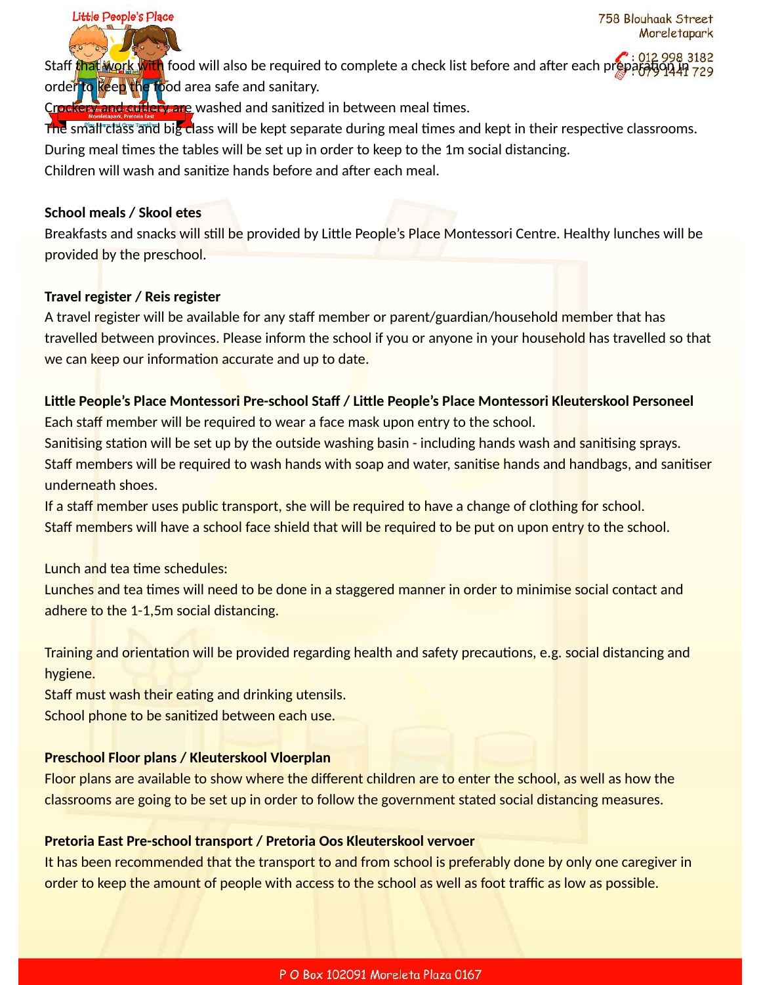Staff that work with food will also be required to complete a check list before and after each prepar order to keep the food area safe and sanitary.

Crockery and cutlery are washed and sanitized in between meal times.

The small class and big class will be kept separate during meal times and kept in their respective classrooms.

During meal times the tables will be set up in order to keep to the 1m social distancing.

Children will wash and sanitize hands before and after each meal.

### **School meals / Skool etes**

Little People's Place

Breakfasts and snacks will still be provided by Little People's Place Montessori Centre. Healthy lunches will be provided by the preschool.

### **Travel register / Reis register**

A travel register will be available for any staff member or parent/guardian/household member that has travelled between provinces. Please inform the school if you or anyone in your household has travelled so that we can keep our information accurate and up to date.

### Little People's Place Montessori Pre-school Staff / Little People's Place Montessori Kleuterskool Personeel

Each staff member will be required to wear a face mask upon entry to the school.

Sanitising station will be set up by the outside washing basin - including hands wash and sanitising sprays. Staff members will be required to wash hands with soap and water, sanitise hands and handbags, and sanitiser underneath shoes.

If a staff member uses public transport, she will be required to have a change of clothing for school. Staff members will have a school face shield that will be required to be put on upon entry to the school.

Lunch and tea time schedules:

Lunches and tea times will need to be done in a staggered manner in order to minimise social contact and adhere to the 1-1,5m social distancing.

Training and orientation will be provided regarding health and safety precautions, e.g. social distancing and hygiene.

Staff must wash their eating and drinking utensils.

School phone to be sanitized between each use.

### **Preschool Floor plans / Kleuterskool Vloerplan**

Floor plans are available to show where the different children are to enter the school, as well as how the classrooms are going to be set up in order to follow the government stated social distancing measures.

### **Pretoria East Pre-school transport / Pretoria Oos Kleuterskool vervoer**

It has been recommended that the transport to and from school is preferably done by only one caregiver in order to keep the amount of people with access to the school as well as foot traffic as low as possible.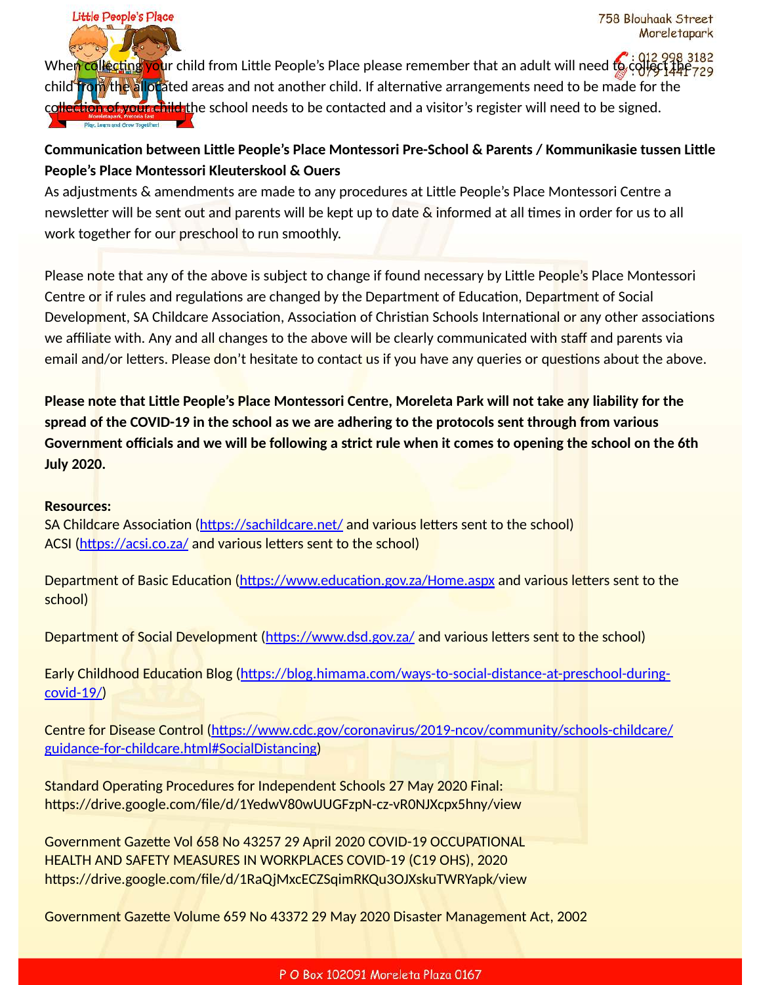When collecting your child from Little People's Place please remember that an adult will need to collect the 729 child from the allocated areas and not another child. If alternative arrangements need to be made for the collection of your child the school needs to be contacted and a visitor's register will need to be signed.

# Communication between Little People's Place Montessori Pre-School & Parents / Kommunikasie tussen Little **People's Place Montessori Kleuterskool & Ouers**

As adjustments & amendments are made to any procedures at Little People's Place Montessori Centre a newsletter will be sent out and parents will be kept up to date & informed at all times in order for us to all work together for our preschool to run smoothly.

Please note that any of the above is subject to change if found necessary by Little People's Place Montessori Centre or if rules and regulations are changed by the Department of Education, Department of Social Development, SA Childcare Association, Association of Christian Schools International or any other associations we affiliate with. Any and all changes to the above will be clearly communicated with staff and parents via email and/or letters. Please don't hesitate to contact us if you have any queries or questions about the above.

**Please note that Little People's Place Montessori Centre, Moreleta Park will not take any liability for the spread of the COVID-19 in the school as we are adhering to the protocols sent through from various Government officials and we will be following a strict rule when it comes to opening the school on the 6th July 2020.** 

#### **Resources:**

Little People's Place

SA Childcare Association (https://sachildcare.net/ and various letters sent to the school) ACSI (https://acsi.co.za/ and various letters sent to the school)

Department of Basic Education (https://www.education.gov.za/Home.aspx and various letters sent to the school)

Department of Social Development (https://www.dsd.gov.za/ and various letters sent to the school)

Early Childhood Education Blog (https://blog.himama.com/ways-to-social-distance-at-preschool-during[covid-19/](https://blog.himama.com/ways-to-social-distance-at-preschool-during-covid-19/))

Centre for Disease Control (https://www.cdc.gov/coronavirus/2019-ncov/community/schools-childcare/ [guidance-for-childcare.html#SocialDistancing\)](https://www.cdc.gov/coronavirus/2019-ncov/community/schools-childcare/guidance-for-childcare.html#SocialDistancing)

Standard Operating Procedures for Independent Schools 27 May 2020 Final: https://drive.google.com/file/d/1YedwV80wUUGFzpN-cz-vR0NJXcpx5hny/view

Government Gazette Vol 658 No 43257 29 April 2020 COVID-19 OCCUPATIONAL HEALTH AND SAFETY MEASURES IN WORKPLACES COVID-19 (C19 OHS), 2020 https://drive.google.com/file/d/1RaQjMxcECZSqimRKQu3OJXskuTWRYapk/view

Government Gazette Volume 659 No 43372 29 May 2020 Disaster Management Act, 2002